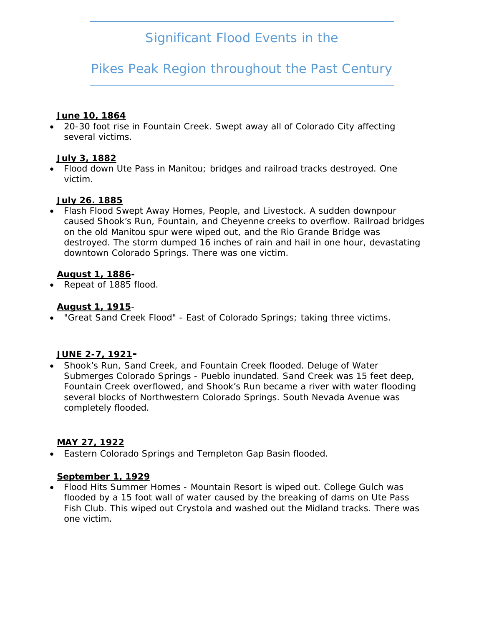# *Significant Flood Events in the*

# *Pikes Peak Region throughout the Past Century*

## **June 10, 1864**

 20-30 foot rise in Fountain Creek. Swept away all of Colorado City affecting several victims.

## **July 3, 1882**

 Flood down Ute Pass in Manitou; bridges and railroad tracks destroyed. One victim.

## **July 26. 1885**

 Flash Flood Swept Away Homes, People, and Livestock. A sudden downpour caused Shook's Run, Fountain, and Cheyenne creeks to overflow. Railroad bridges on the old Manitou spur were wiped out, and the Rio Grande Bridge was destroyed. The storm dumped 16 inches of rain and hail in one hour, devastating downtown Colorado Springs. There was one victim.

# **August 1, 1886-**

• Repeat of 1885 flood.

## **August 1, 1915**-

"Great Sand Creek Flood" - East of Colorado Springs; taking three victims.

# **JUNE 2-7, 1921-**

 Shook's Run, Sand Creek, and Fountain Creek flooded. Deluge of Water Submerges Colorado Springs - Pueblo inundated. Sand Creek was 15 feet deep, Fountain Creek overflowed, and Shook's Run became a river with water flooding several blocks of Northwestern Colorado Springs. South Nevada Avenue was completely flooded.

# **MAY 27, 1922**

Eastern Colorado Springs and Templeton Gap Basin flooded.

#### **September 1, 1929**

 Flood Hits Summer Homes - Mountain Resort is wiped out. College Gulch was flooded by a 15 foot wall of water caused by the breaking of dams on Ute Pass Fish Club. This wiped out Crystola and washed out the Midland tracks. There was one victim.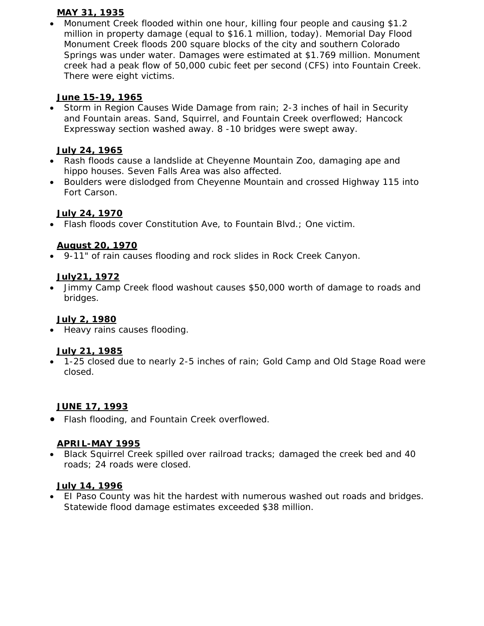## **MAY 31, 1935**

 Monument Creek flooded within one hour, killing four people and causing \$1.2 million in property damage (equal to \$16.1 million, today). Memorial Day Flood Monument Creek floods 200 square blocks of the city and southern Colorado Springs was under water. Damages were estimated at \$1.769 million. Monument creek had a peak flow of 50,000 cubic feet per second (CFS) into Fountain Creek. There were eight victims.

# **June 15-19, 1965**

• Storm in Region Causes Wide Damage from rain; 2-3 inches of hail in Security and Fountain areas. Sand, Squirrel, and Fountain Creek overflowed; Hancock Expressway section washed away. 8 -10 bridges were swept away.

## **July 24, 1965**

- Rash floods cause a landslide at Cheyenne Mountain Zoo, damaging ape and hippo houses. Seven Falls Area was also affected.
- Boulders were dislodged from Cheyenne Mountain and crossed Highway 115 into Fort Carson.

## **July 24, 1970**

Flash floods cover Constitution Ave, to Fountain Blvd.; One victim.

## **August 20, 1970**

9-11" of rain causes flooding and rock slides in Rock Creek Canyon.

#### **July21, 1972**

 Jimmy Camp Creek flood washout causes \$50,000 worth of damage to roads and bridges.

#### **July 2, 1980**

• Heavy rains causes flooding.

#### **July 21, 1985**

 1-25 closed due to nearly 2-5 inches of rain; Gold Camp and Old Stage Road were closed.

# **JUNE 17, 1993**

Flash flooding, and Fountain Creek overflowed.

#### **APRIL-MAY 1995**

 Black Squirrel Creek spilled over railroad tracks; damaged the creek bed and 40 roads; 24 roads were closed.

#### **July 14, 1996**

 EI Paso County was hit the hardest with numerous washed out roads and bridges. Statewide flood damage estimates exceeded \$38 million.